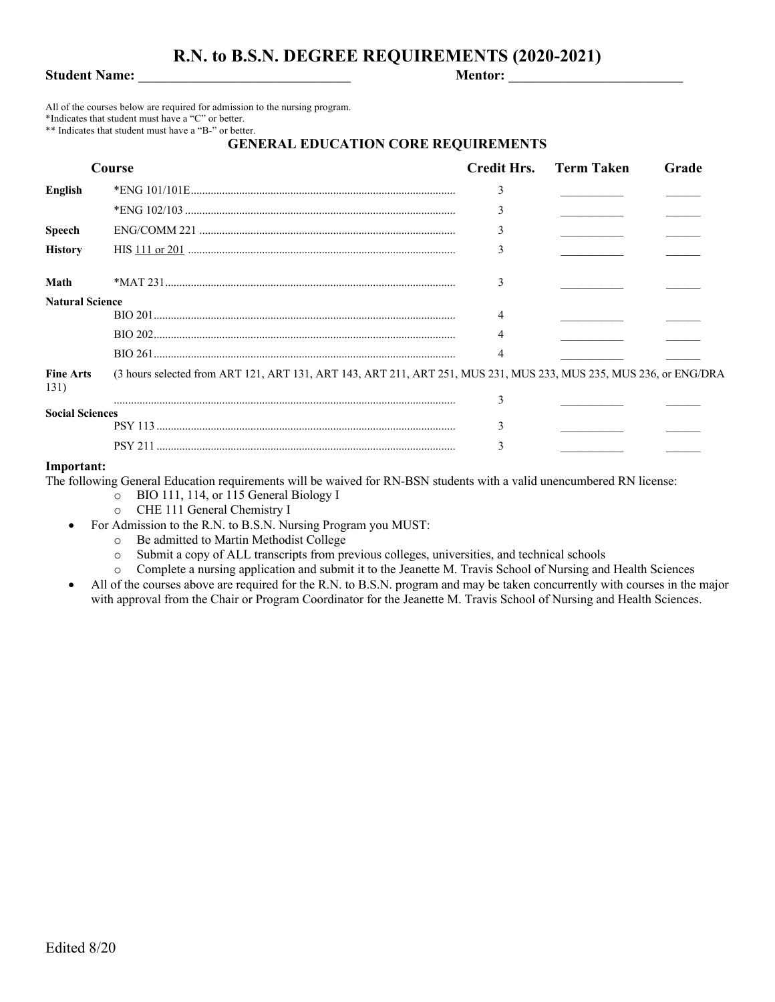# **R.N. to B.S.N. DEGREE REQUIREMENTS (2020-2021)**

**Student Name:** \_\_\_\_\_\_\_\_\_\_\_\_\_\_\_\_\_\_\_\_\_\_\_\_\_\_\_\_ **Mentor:** \_\_\_\_\_\_\_\_\_\_\_\_\_\_\_\_\_\_\_\_\_\_\_

All of the courses below are required for admission to the nursing program. \*Indicates that student must have a "C" or better.

\*\* Indicates that student must have a "B-" or better.

## **GENERAL EDUCATION CORE REQUIREMENTS**

| Course                   |                                                                                                                    | <b>Credit Hrs.</b> Term Taken | Grade |
|--------------------------|--------------------------------------------------------------------------------------------------------------------|-------------------------------|-------|
| English                  |                                                                                                                    | 3                             |       |
|                          |                                                                                                                    |                               |       |
| <b>Speech</b>            |                                                                                                                    |                               |       |
| <b>History</b>           |                                                                                                                    |                               |       |
| Math                     |                                                                                                                    |                               |       |
| <b>Natural Science</b>   |                                                                                                                    |                               |       |
|                          |                                                                                                                    |                               |       |
|                          |                                                                                                                    |                               |       |
|                          |                                                                                                                    |                               |       |
| <b>Fine Arts</b><br>131) | (3 hours selected from ART 121, ART 131, ART 143, ART 211, ART 251, MUS 231, MUS 233, MUS 235, MUS 236, or ENG/DRA |                               |       |
|                          |                                                                                                                    | ٩                             |       |
| <b>Social Sciences</b>   |                                                                                                                    |                               |       |
|                          |                                                                                                                    |                               |       |

### **Important:**

The following General Education requirements will be waived for RN-BSN students with a valid unencumbered RN license:

- o BIO 111, 114, or 115 General Biology I
- o CHE 111 General Chemistry I
- For Admission to the R.N. to B.S.N. Nursing Program you MUST:
	- o Be admitted to Martin Methodist College
	- o Submit a copy of ALL transcripts from previous colleges, universities, and technical schools
	- o Complete a nursing application and submit it to the Jeanette M. Travis School of Nursing and Health Sciences
- All of the courses above are required for the R.N. to B.S.N. program and may be taken concurrently with courses in the major with approval from the Chair or Program Coordinator for the Jeanette M. Travis School of Nursing and Health Sciences.